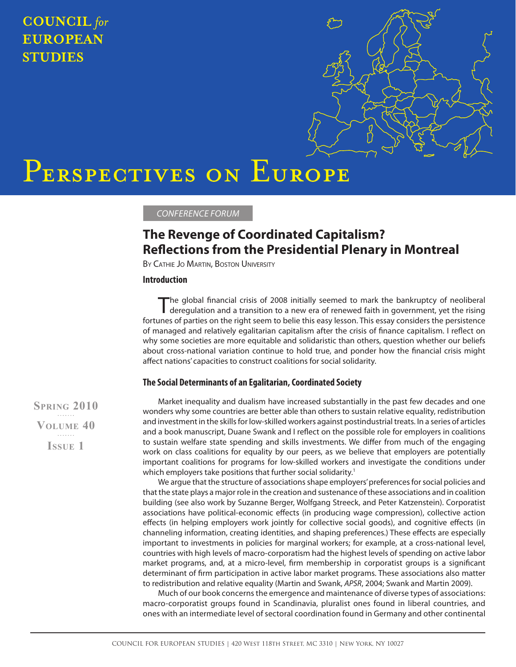## **COUNCIL** for **EUROPEAN STUDIES**



# PERSPECTIVES ON EUROPE

CONFERENCE FORUM

### **The Revenge of Coordinated Capitalism? Reflections from the Presidential Plenary in Montreal**

BY CATHIE JO MARTIN, BOSTON UNIVERSITY

#### **Introduction**

The global financial crisis of 2008 initially seemed to mark the bankruptcy of neoliberal deregulation and a transition to a new era of renewed faith in government, yet the rising fortunes of parties on the right seem to belie this easy lesson. This essay considers the persistence of managed and relatively egalitarian capitalism after the crisis of finance capitalism. I reflect on why some societies are more equitable and solidaristic than others, question whether our beliefs about cross-national variation continue to hold true, and ponder how the financial crisis might affect nations' capacities to construct coalitions for social solidarity.

#### **The Social Determinants of an Egalitarian, Coordinated Society**

**SPRING 2010 VOLUME 40 ISSUE 1**

Market inequality and dualism have increased substantially in the past few decades and one wonders why some countries are better able than others to sustain relative equality, redistribution and investment in the skills for low-skilled workers against postindustrial treats. In a series of articles and a book manuscript, Duane Swank and I reflect on the possible role for employers in coalitions to sustain welfare state spending and skills investments. We differ from much of the engaging work on class coalitions for equality by our peers, as we believe that employers are potentially important coalitions for programs for low-skilled workers and investigate the conditions under which employers take positions that further social solidarity.<sup>1</sup>

We argue that the structure of associations shape employers' preferences for social policies and that the state plays a major role in the creation and sustenance of these associations and in coalition building (see also work by Suzanne Berger, Wolfgang Streeck, and Peter Katzenstein). Corporatist associations have political-economic effects (in producing wage compression), collective action effects (in helping employers work jointly for collective social goods), and cognitive effects (in channeling information, creating identities, and shaping preferences.) These effects are especially important to investments in policies for marginal workers; for example, at a cross-national level, countries with high levels of macro-corporatism had the highest levels of spending on active labor market programs, and, at a micro-level, firm membership in corporatist groups is a significant determinant of firm participation in active labor market programs. These associations also matter to redistribution and relative equality (Martin and Swank, APSR, 2004; Swank and Martin 2009).

Much of our book concerns the emergence and maintenance of diverse types of associations: macro-corporatist groups found in Scandinavia, pluralist ones found in liberal countries, and ones with an intermediate level of sectoral coordination found in Germany and other continental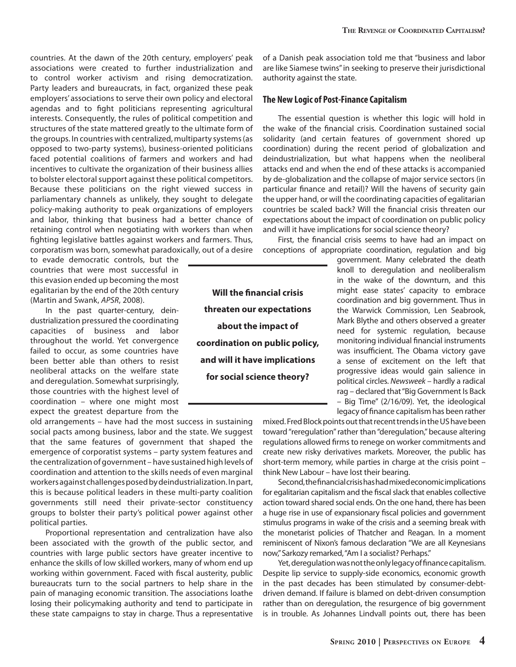countries. At the dawn of the 20th century, employers' peak associations were created to further industrialization and to control worker activism and rising democratization. Party leaders and bureaucrats, in fact, organized these peak employers' associations to serve their own policy and electoral agendas and to fight politicians representing agricultural interests. Consequently, the rules of political competition and structures of the state mattered greatly to the ultimate form of the groups. In countries with centralized, multiparty systems (as opposed to two-party systems), business-oriented politicians faced potential coalitions of farmers and workers and had incentives to cultivate the organization of their business allies to bolster electoral support against these political competitors. Because these politicians on the right viewed success in parliamentary channels as unlikely, they sought to delegate policy-making authority to peak organizations of employers and labor, thinking that business had a better chance of retaining control when negotiating with workers than when fighting legislative battles against workers and farmers. Thus, corporatism was born, somewhat paradoxically, out of a desire

to evade democratic controls, but the countries that were most successful in this evasion ended up becoming the most egalitarian by the end of the 20th century (Martin and Swank, APSR, 2008).

In the past quarter-century, deindustrialization pressured the coordinating capacities of business and labor throughout the world. Yet convergence failed to occur, as some countries have been better able than others to resist neoliberal attacks on the welfare state and deregulation. Somewhat surprisingly, those countries with the highest level of coordination – where one might most expect the greatest departure from the

old arrangements – have had the most success in sustaining social pacts among business, labor and the state. We suggest that the same features of government that shaped the emergence of corporatist systems – party system features and the centralization of government – have sustained high levels of coordination and attention to the skills needs of even marginal workers against challenges posed by deindustrialization. In part, this is because political leaders in these multi-party coalition governments still need their private-sector constituency groups to bolster their party's political power against other political parties.

Proportional representation and centralization have also been associated with the growth of the public sector, and countries with large public sectors have greater incentive to enhance the skills of low skilled workers, many of whom end up working within government. Faced with fiscal austerity, public bureaucrats turn to the social partners to help share in the pain of managing economic transition. The associations loathe losing their policymaking authority and tend to participate in these state campaigns to stay in charge. Thus a representative

of a Danish peak association told me that "business and labor are like Siamese twins" in seeking to preserve their jurisdictional authority against the state.

#### **The New Logic of Post-Finance Capitalism**

The essential question is whether this logic will hold in the wake of the financial crisis. Coordination sustained social solidarity (and certain features of government shored up coordination) during the recent period of globalization and deindustrialization, but what happens when the neoliberal attacks end and when the end of these attacks is accompanied by de-globalization and the collapse of major service sectors (in particular finance and retail)? Will the havens of security gain the upper hand, or will the coordinating capacities of egalitarian countries be scaled back? Will the financial crisis threaten our expectations about the impact of coordination on public policy and will it have implications for social science theory?

First, the financial crisis seems to have had an impact on conceptions of appropriate coordination, regulation and big

> government. Many celebrated the death knoll to deregulation and neoliberalism in the wake of the downturn, and this might ease states' capacity to embrace coordination and big government. Thus in the Warwick Commission, Len Seabrook, Mark Blythe and others observed a greater need for systemic regulation, because monitoring individual financial instruments was insufficient. The Obama victory gave a sense of excitement on the left that progressive ideas would gain salience in political circles. Newsweek – hardly a radical rag – declared that "Big Government Is Back – Big Time" (2/16/09). Yet, the ideological legacy of finance capitalism has been rather

mixed. Fred Block points out that recent trends in the US have been toward "reregulation" rather than "deregulation," because altering regulations allowed firms to renege on worker commitments and create new risky derivatives markets. Moreover, the public has short-term memory, while parties in charge at the crisis point – think New Labour – have lost their bearing.

Second, the financial crisis has had mixed economic implications for egalitarian capitalism and the fiscal slack that enables collective action toward shared social ends. On the one hand, there has been a huge rise in use of expansionary fiscal policies and government stimulus programs in wake of the crisis and a seeming break with the monetarist policies of Thatcher and Reagan. In a moment reminiscent of Nixon's famous declaration "We are all Keynesians now," Sarkozy remarked, "Am I a socialist? Perhaps."

Yet, deregulation was not the only legacy of finance capitalism. Despite lip service to supply-side economics, economic growth in the past decades has been stimulated by consumer-debtdriven demand. If failure is blamed on debt-driven consumption rather than on deregulation, the resurgence of big government is in trouble. As Johannes Lindvall points out, there has been

**Will the financial crisis threaten our expectations about the impact of coordination on public policy, and will it have implications for social science theory?**